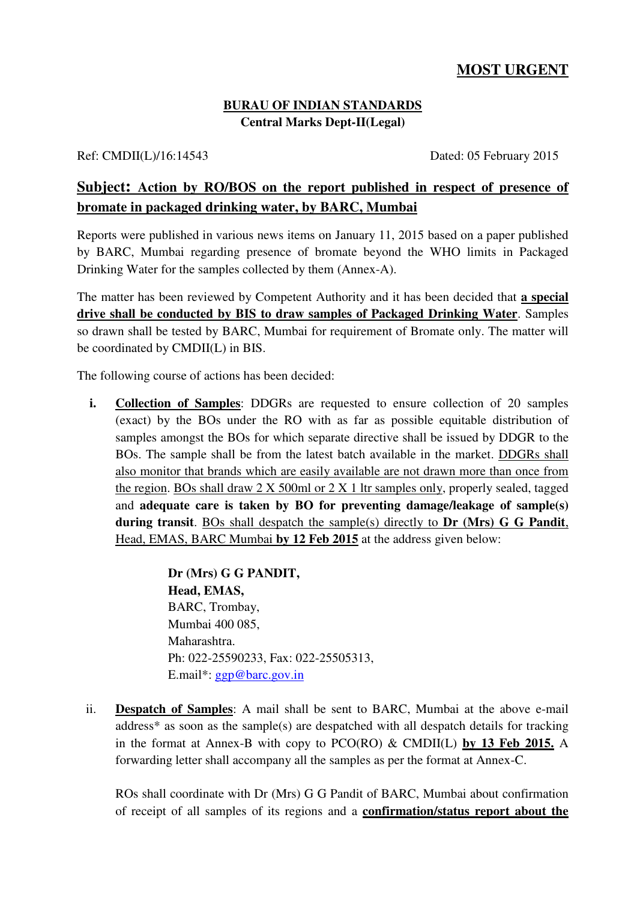# **MOST URGENT**

## **BURAU OF INDIAN STANDARDS Central Marks Dept-II(Legal)**

Ref: CMDII(L)/16:14543 Dated: 05 February 2015

# **Subject: Action by RO/BOS on the report published in respect of presence of bromate in packaged drinking water, by BARC, Mumbai**

Reports were published in various news items on January 11, 2015 based on a paper published by BARC, Mumbai regarding presence of bromate beyond the WHO limits in Packaged Drinking Water for the samples collected by them (Annex-A).

The matter has been reviewed by Competent Authority and it has been decided that **a special drive shall be conducted by BIS to draw samples of Packaged Drinking Water**. Samples so drawn shall be tested by BARC, Mumbai for requirement of Bromate only. The matter will be coordinated by CMDII(L) in BIS.

The following course of actions has been decided:

**i. Collection of Samples**: DDGRs are requested to ensure collection of 20 samples (exact) by the BOs under the RO with as far as possible equitable distribution of samples amongst the BOs for which separate directive shall be issued by DDGR to the BOs. The sample shall be from the latest batch available in the market. DDGRs shall also monitor that brands which are easily available are not drawn more than once from the region. BOs shall draw 2 X 500ml or 2 X 1 ltr samples only, properly sealed, tagged and **adequate care is taken by BO for preventing damage/leakage of sample(s) during transit**. BOs shall despatch the sample(s) directly to **Dr (Mrs) G G Pandit**, Head, EMAS, BARC Mumbai **by 12 Feb 2015** at the address given below:

> **Dr (Mrs) G G PANDIT, Head, EMAS,**  BARC, Trombay, Mumbai 400 085, Maharashtra. Ph: 022-25590233, Fax: 022-25505313, E.mail\*: [ggp@barc.gov.in](mailto:ggp@barc.gov.in)

ii. **Despatch of Samples**: A mail shall be sent to BARC, Mumbai at the above e-mail address\* as soon as the sample(s) are despatched with all despatch details for tracking in the format at Annex-B with copy to PCO(RO) & CMDII(L) **by 13 Feb 2015.** A forwarding letter shall accompany all the samples as per the format at Annex-C.

ROs shall coordinate with Dr (Mrs) G G Pandit of BARC, Mumbai about confirmation of receipt of all samples of its regions and a **confirmation/status report about the**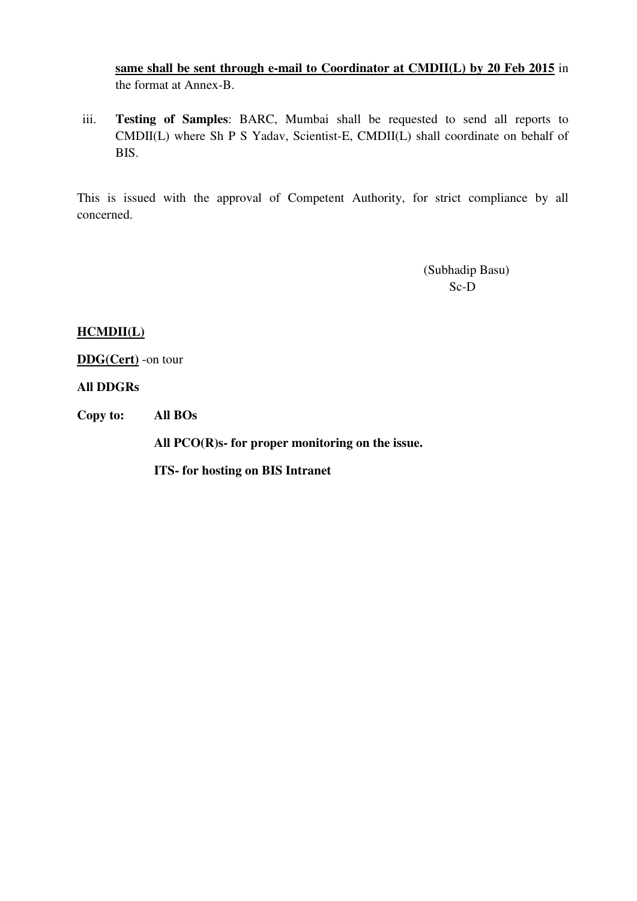**<u>same shall be sent through e-mail to Coordinator at CMDII(L) by 20 Feb 2015</u> in** the format at Annex-B.

iii. **Testing of Samples**: BARC, Mumbai shall be requested to send all reports to CMDII(L) where Sh P S Yadav, Scientist-E, CMDII(L) shall coordinate on behalf of BIS.

This is issued with the approval of Competent Authority, for strict compliance by all concerned.

 (Subhadip Basu) Sc-D

### **HCMDII(L)**

**DDG(Cert)** -on tour

### **All DDGRs**

**Copy to: All BOs** 

 **All PCO(R)s- for proper monitoring on the issue.** 

 **ITS- for hosting on BIS Intranet**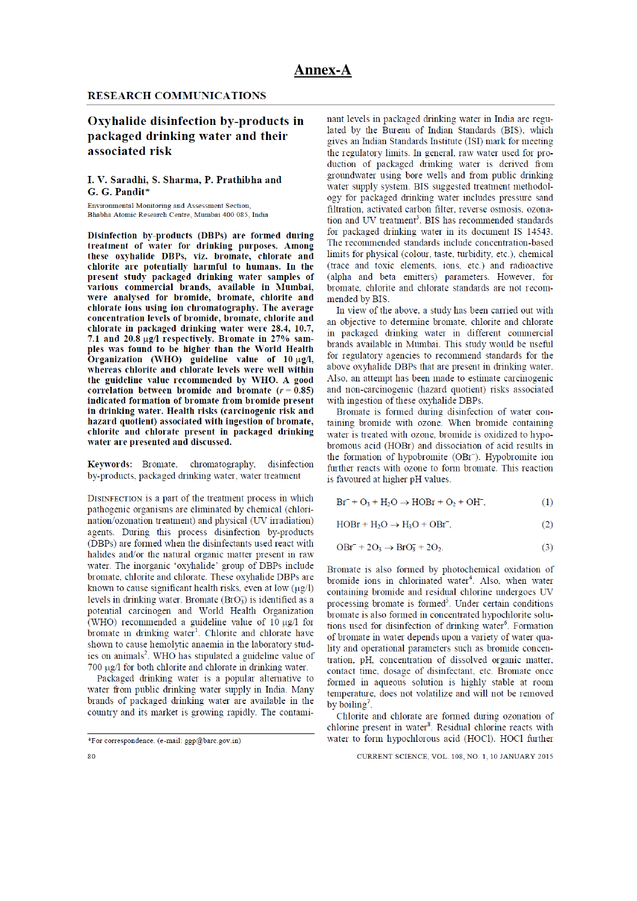#### **RESEARCH COMMUNICATIONS**

### Oxyhalide disinfection by-products in packaged drinking water and their associated risk

#### I. V. Saradhi, S. Sharma, P. Prathibha and G. G. Pandit\*

Environmental Monitoring and Assessment Section, Bhabha Atomic Research Centre, Mumbai 400 085, India

Disinfection by-products (DBPs) are formed during treatment of water for drinking purposes. Among these oxyhalide DBPs, viz. bromate, chlorate and chlorite are potentially harmful to humans. In the present study packaged drinking water samples of various commercial brands, available in Mumbai, were analysed for bromide, bromate, chlorite and chlorate ions using ion chromatography. The average concentration levels of bromide, bromate, chlorite and chlorate in packaged drinking water were 28.4, 10.7, 7.1 and 20.8 µg/l respectively. Bromate in 27% samples was found to be higher than the World Health Organization (WHO) guideline value of  $10 \mu g/l$ , whereas chlorite and chlorate levels were well within the guideline value recommended by WHO. A good correlation between bromide and bromate  $(r = 0.85)$ indicated formation of bromate from bromide present in drinking water. Health risks (carcinogenic risk and hazard quotient) associated with ingestion of bromate, chlorite and chlorate present in packaged drinking water are presented and discussed.

**Keywords:** Bromate, chromatography, disinfection by-products, packaged drinking water, water treatment

DISINFECTION is a part of the treatment process in which pathogenic organisms are eliminated by chemical (chlorination/ozonation treatment) and physical (UV irradiation) agents. During this process disinfection by-products (DBPs) are formed when the disinfectants used react with halides and/or the natural organic matter present in raw water. The inorganic 'oxyhalide' group of DBPs include bromate, chlorite and chlorate. These oxyhalide DBPs are known to cause significant health risks, even at low  $(\mu g/I)$ levels in drinking water. Bromate  $(BrO<sub>3</sub>)$  is identified as a potential carcinogen and World Health Organization (WHO) recommended a guideline value of  $10 \mu g/l$  for bromate in drinking water<sup>1</sup>. Chlorite and chlorate have shown to cause hemolytic anaemia in the laboratory studies on animals<sup>2</sup>. WHO has stipulated a guideline value of 700 µg/l for both chlorite and chlorate in drinking water.

Packaged drinking water is a popular alternative to water from public drinking water supply in India. Many brands of packaged drinking water are available in the country and its market is growing rapidly. The contaminant levels in packaged drinking water in India are regulated by the Bureau of Indian Standards (BIS), which gives an Indian Standards Institute (ISI) mark for meeting the regulatory limits. In general, raw water used for production of packaged drinking water is derived from groundwater using bore wells and from public drinking water supply system. BIS suggested treatment methodology for packaged drinking water includes pressure sand filtration, activated carbon filter, reverse osmosis, ozonation and UV treatment<sup>3</sup>. BIS has recommended standards for packaged drinking water in its document IS 14543. The recommended standards include concentration-based limits for physical (colour, taste, turbidity, etc.), chemical (trace and toxic elements, ions, etc.) and radioactive (alpha and beta emitters) parameters. However, for bromate, chlorite and chlorate standards are not recommended by BIS.

In view of the above, a study has been carried out with an objective to determine bromate, chlorite and chlorate in packaged drinking water in different commercial brands available in Mumbai. This study would be useful for regulatory agencies to recommend standards for the above oxyhalide DBPs that are present in drinking water. Also, an attempt has been made to estimate carcinogenic and non-carcinogenic (hazard quotient) risks associated with ingestion of these oxyhalide DBPs.

Bromate is formed during disinfection of water containing bromide with ozone. When bromide containing water is treated with ozone, bromide is oxidized to hypobromous acid (HOBr) and dissociation of acid results in the formation of hypobromite (OBr<sup>-</sup>). Hypobromite ion further reacts with ozone to form bromate. This reaction is favoured at higher pH values.

 $Br^- + O_3 + H_2O \rightarrow HOBr + O_2 + OH^-$ .  $(1)$ 

$$
HOBr + H_2O \rightarrow H_3O + OBr^-,
$$
 (2)

 $\sim$ 

$$
\text{OBr}^- + 2\text{O}_3 \rightarrow \text{BrO}_3^- + 2\text{O}_2. \tag{3}
$$

Bromate is also formed by photochemical oxidation of bromide ions in chlorinated water<sup>4</sup>. Also, when water containing bromide and residual chlorine undergoes UV processing bromate is formed<sup>5</sup>. Under certain conditions bromate is also formed in concentrated hypochlorite solutions used for disinfection of drinking water<sup>6</sup>. Formation of bromate in water depends upon a variety of water quality and operational parameters such as bromide concentration, pH, concentration of dissolved organic matter, contact time, dosage of disinfectant, etc. Bromate once formed in aqueous solution is highly stable at room temperature, does not volatilize and will not be removed by boiling'.

Chlorite and chlorate are formed during ozonation of chlorine present in water<sup>8</sup>. Residual chlorine reacts with water to form hypochlorous acid (HOCl). HOCl further

<sup>\*</sup>For correspondence. (e-mail: ggp@barc.gov.in)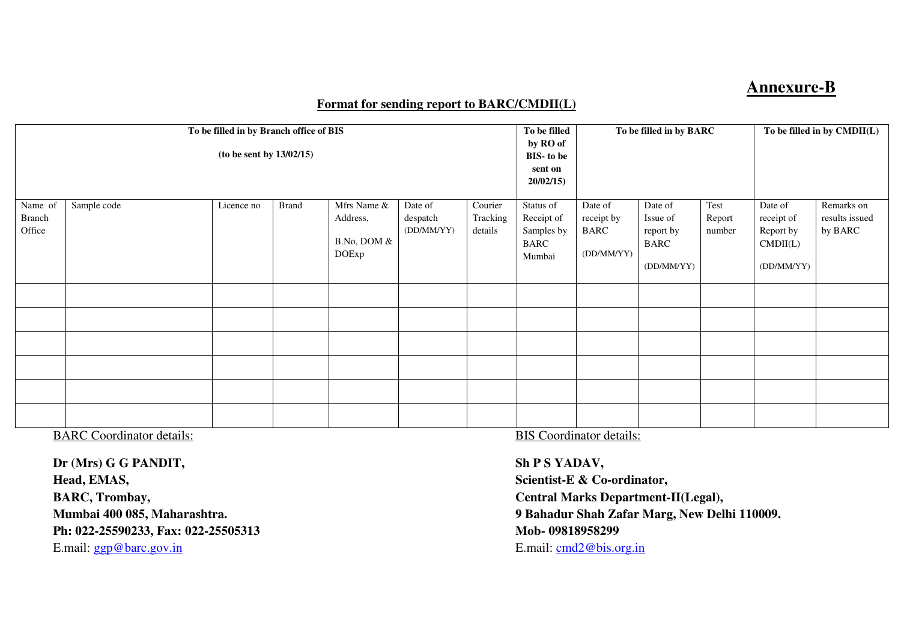# **Annexure-B**

### **Format for sending report to BARC/CMDII(L)**

| To be filled in by Branch office of BIS<br>(to be sent by $13/02/15$ ) |                                           |            |              |                                                        |                                   |                                |                                                                | To be filled in by BARC                            |                                                               |                          | To be filled in by CMDII(L)                                 |                                         |
|------------------------------------------------------------------------|-------------------------------------------|------------|--------------|--------------------------------------------------------|-----------------------------------|--------------------------------|----------------------------------------------------------------|----------------------------------------------------|---------------------------------------------------------------|--------------------------|-------------------------------------------------------------|-----------------------------------------|
| Name of<br><b>Branch</b><br>Office                                     | Sample code                               | Licence no | <b>Brand</b> | Mfrs Name &<br>Address,<br>B.No, DOM &<br><b>DOExp</b> | Date of<br>despatch<br>(DD/MM/YY) | Courier<br>Tracking<br>details | Status of<br>Receipt of<br>Samples by<br><b>BARC</b><br>Mumbai | Date of<br>receipt by<br><b>BARC</b><br>(DD/MM/YY) | Date of<br>Issue of<br>report by<br><b>BARC</b><br>(DD/MM/YY) | Test<br>Report<br>number | Date of<br>receipt of<br>Report by<br>CMDI(L)<br>(DD/MM/YY) | Remarks on<br>results issued<br>by BARC |
|                                                                        |                                           |            |              |                                                        |                                   |                                |                                                                |                                                    |                                                               |                          |                                                             |                                         |
|                                                                        |                                           |            |              |                                                        |                                   |                                |                                                                |                                                    |                                                               |                          |                                                             |                                         |
|                                                                        |                                           |            |              |                                                        |                                   |                                |                                                                |                                                    |                                                               |                          |                                                             |                                         |
|                                                                        |                                           |            |              |                                                        |                                   |                                |                                                                |                                                    |                                                               |                          |                                                             |                                         |
|                                                                        |                                           |            |              |                                                        |                                   |                                |                                                                |                                                    |                                                               |                          |                                                             |                                         |
|                                                                        | $\sim$ $\sim$ $\sim$ $\sim$ $\sim$ $\sim$ |            |              |                                                        |                                   |                                | $-72$                                                          |                                                    |                                                               |                          |                                                             |                                         |

BARC Coordinator details: BIS Coordinator details:

**Dr (Mrs) G G PANDIT, Sh P S YADAV,** Head, EMAS, Scientist-E & Co-ordinator, Ph: 022-25590233, Fax: 022-25505313 Mob- 09818958299 E.mail: [ggp@barc.gov.in](mailto:ggp@barc.gov.in) E.mail: cmd2@bis.org.in

BARC, Trombay, **BARC, Trombay,**  $\qquad \qquad$ Central Marks Department-II(Legal), **Mumbai 400 085, Maharashtra. 9 Bahadur Shah Zafar Marg, New Delhi 110009.**